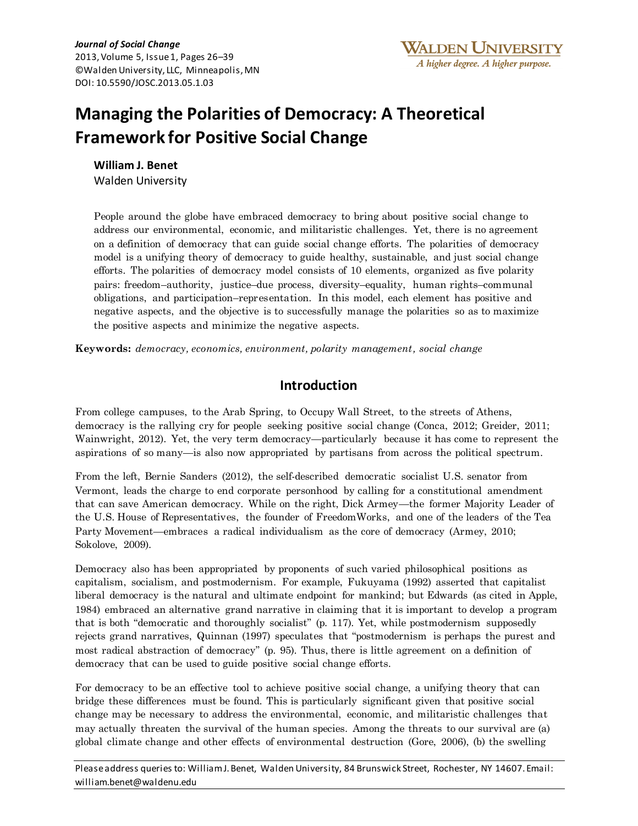# **Managing the Polarities of Democracy: A Theoretical Framework for Positive Social Change**

**William J. Benet** Walden University

People around the globe have embraced democracy to bring about positive social change to address our environmental, economic, and militaristic challenges. Yet, there is no agreement on a definition of democracy that can guide social change efforts. The polarities of democracy model is a unifying theory of democracy to guide healthy, sustainable, and just social change efforts. The polarities of democracy model consists of 10 elements, organized as five polarity pairs: freedom–authority, justice–due process, diversity–equality, human rights–communal obligations, and participation–representation. In this model, each element has positive and negative aspects, and the objective is to successfully manage the polarities so as to maximize the positive aspects and minimize the negative aspects.

**Keywords:** *democracy, economics, environment, polarity management, social change*

## **Introduction**

From college campuses, to the Arab Spring, to Occupy Wall Street, to the streets of Athens, democracy is the rallying cry for people seeking positive social change (Conca, 2012; Greider, 2011; Wainwright, 2012). Yet, the very term democracy—particularly because it has come to represent the aspirations of so many—is also now appropriated by partisans from across the political spectrum.

From the left, Bernie Sanders (2012), the self-described democratic socialist U.S. senator from Vermont, leads the charge to end corporate personhood by calling for a constitutional amendment that can save American democracy. While on the right, Dick Armey—the former Majority Leader of the U.S. House of Representatives, the founder of FreedomWorks, and one of the leaders of the Tea Party Movement—embraces a radical individualism as the core of democracy (Armey, 2010; Sokolove, 2009).

Democracy also has been appropriated by proponents of such varied philosophical positions as capitalism, socialism, and postmodernism. For example, Fukuyama (1992) asserted that capitalist liberal democracy is the natural and ultimate endpoint for mankind; but Edwards (as cited in Apple, 1984) embraced an alternative grand narrative in claiming that it is important to develop a program that is both "democratic and thoroughly socialist" (p. 117). Yet, while postmodernism supposedly rejects grand narratives, Quinnan (1997) speculates that "postmodernism is perhaps the purest and most radical abstraction of democracy" (p. 95). Thus, there is little agreement on a definition of democracy that can be used to guide positive social change efforts.

For democracy to be an effective tool to achieve positive social change, a unifying theory that can bridge these differences must be found. This is particularly significant given that positive social change may be necessary to address the environmental, economic, and militaristic challenges that may actually threaten the survival of the human species. Among the threats to our survival are (a) global climate change and other effects of environmental destruction (Gore, 2006), (b) the swelling

Please address queries to: William J. Benet, Walden University, 84 Brunswick Street, Rochester, NY 14607. Email: william.benet@waldenu.edu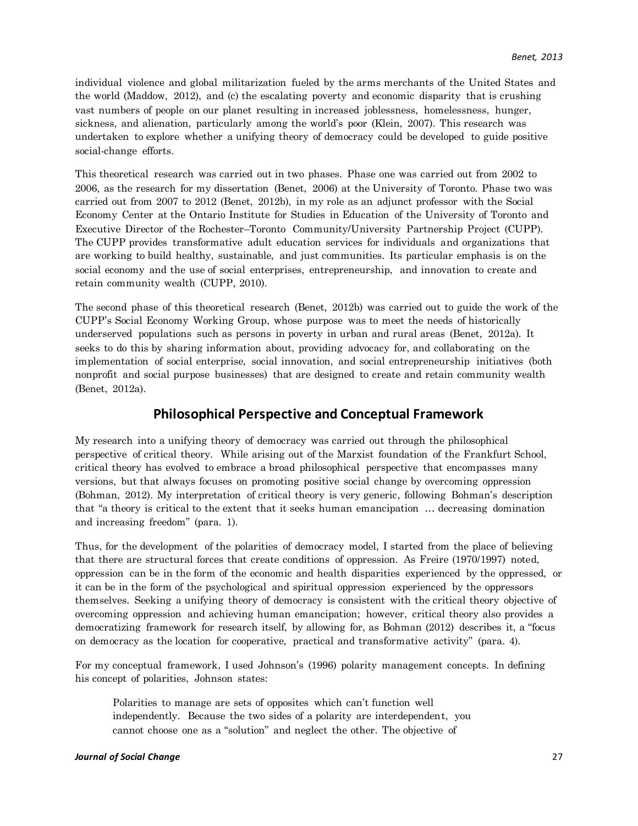individual violence and global militarization fueled by the arms merchants of the United States and the world (Maddow, 2012), and (c) the escalating poverty and economic disparity that is crushing vast numbers of people on our planet resulting in increased joblessness, homelessness, hunger, sickness, and alienation, particularly among the world's poor (Klein, 2007). This research was undertaken to explore whether a unifying theory of democracy could be developed to guide positive social-change efforts.

This theoretical research was carried out in two phases. Phase one was carried out from 2002 to 2006, as the research for my dissertation (Benet, 2006) at the University of Toronto. Phase two was carried out from 2007 to 2012 (Benet, 2012b), in my role as an adjunct professor with the Social Economy Center at the Ontario Institute for Studies in Education of the University of Toronto and Executive Director of the Rochester–Toronto Community/University Partnership Project (CUPP). The CUPP provides transformative adult education services for individuals and organizations that are working to build healthy, sustainable, and just communities. Its particular emphasis is on the social economy and the use of social enterprises, entrepreneurship, and innovation to create and retain community wealth (CUPP, 2010).

The second phase of this theoretical research (Benet, 2012b) was carried out to guide the work of the CUPP's Social Economy Working Group, whose purpose was to meet the needs of historically underserved populations such as persons in poverty in urban and rural areas (Benet, 2012a). It seeks to do this by sharing information about, providing advocacy for, and collaborating on the implementation of social enterprise, social innovation, and social entrepreneurship initiatives (both nonprofit and social purpose businesses) that are designed to create and retain community wealth (Benet, 2012a).

## **Philosophical Perspective and Conceptual Framework**

My research into a unifying theory of democracy was carried out through the philosophical perspective of critical theory. While arising out of the Marxist foundation of the Frankfurt School, critical theory has evolved to embrace a broad philosophical perspective that encompasses many versions, but that always focuses on promoting positive social change by overcoming oppression (Bohman, 2012). My interpretation of critical theory is very generic, following Bohman's description that "a theory is critical to the extent that it seeks human emancipation … decreasing domination and increasing freedom" (para. 1).

Thus, for the development of the polarities of democracy model, I started from the place of believing that there are structural forces that create conditions of oppression. As Freire (1970/1997) noted, oppression can be in the form of the economic and health disparities experienced by the oppressed, or it can be in the form of the psychological and spiritual oppression experienced by the oppressors themselves. Seeking a unifying theory of democracy is consistent with the critical theory objective of overcoming oppression and achieving human emancipation; however, critical theory also provides a democratizing framework for research itself, by allowing for, as Bohman (2012) describes it, a "focus on democracy as the location for cooperative, practical and transformative activity" (para. 4).

For my conceptual framework, I used Johnson's (1996) polarity management concepts. In defining his concept of polarities, Johnson states:

Polarities to manage are sets of opposites which can't function well independently. Because the two sides of a polarity are interdependent, you cannot choose one as a "solution" and neglect the other. The objective of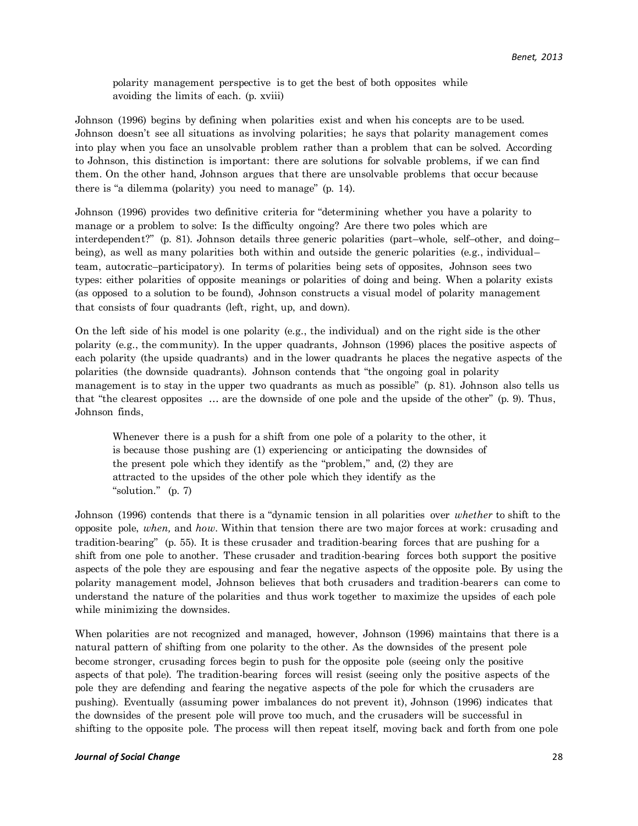polarity management perspective is to get the best of both opposites while avoiding the limits of each. (p. xviii)

Johnson (1996) begins by defining when polarities exist and when his concepts are to be used. Johnson doesn't see all situations as involving polarities; he says that polarity management comes into play when you face an unsolvable problem rather than a problem that can be solved. According to Johnson, this distinction is important: there are solutions for solvable problems, if we can find them. On the other hand, Johnson argues that there are unsolvable problems that occur because there is "a dilemma (polarity) you need to manage" (p. 14).

Johnson (1996) provides two definitive criteria for "determining whether you have a polarity to manage or a problem to solve: Is the difficulty ongoing? Are there two poles which are interdependent?" (p. 81). Johnson details three generic polarities (part–whole, self–other, and doing– being), as well as many polarities both within and outside the generic polarities (e.g., individual– team, autocratic–participatory). In terms of polarities being sets of opposites, Johnson sees two types: either polarities of opposite meanings or polarities of doing and being. When a polarity exists (as opposed to a solution to be found), Johnson constructs a visual model of polarity management that consists of four quadrants (left, right, up, and down).

On the left side of his model is one polarity (e.g., the individual) and on the right side is the other polarity (e.g., the community). In the upper quadrants, Johnson (1996) places the positive aspects of each polarity (the upside quadrants) and in the lower quadrants he places the negative aspects of the polarities (the downside quadrants). Johnson contends that "the ongoing goal in polarity management is to stay in the upper two quadrants as much as possible" (p. 81). Johnson also tells us that "the clearest opposites … are the downside of one pole and the upside of the other" (p. 9). Thus, Johnson finds,

Whenever there is a push for a shift from one pole of a polarity to the other, it is because those pushing are (1) experiencing or anticipating the downsides of the present pole which they identify as the "problem," and, (2) they are attracted to the upsides of the other pole which they identify as the "solution." (p. 7)

Johnson (1996) contends that there is a "dynamic tension in all polarities over *whether* to shift to the opposite pole, *when,* and *how*. Within that tension there are two major forces at work: crusading and tradition-bearing" (p. 55). It is these crusader and tradition-bearing forces that are pushing for a shift from one pole to another. These crusader and tradition-bearing forces both support the positive aspects of the pole they are espousing and fear the negative aspects of the opposite pole. By using the polarity management model, Johnson believes that both crusaders and tradition-bearers can come to understand the nature of the polarities and thus work together to maximize the upsides of each pole while minimizing the downsides.

When polarities are not recognized and managed, however, Johnson (1996) maintains that there is a natural pattern of shifting from one polarity to the other. As the downsides of the present pole become stronger, crusading forces begin to push for the opposite pole (seeing only the positive aspects of that pole). The tradition-bearing forces will resist (seeing only the positive aspects of the pole they are defending and fearing the negative aspects of the pole for which the crusaders are pushing). Eventually (assuming power imbalances do not prevent it), Johnson (1996) indicates that the downsides of the present pole will prove too much, and the crusaders will be successful in shifting to the opposite pole. The process will then repeat itself, moving back and forth from one pole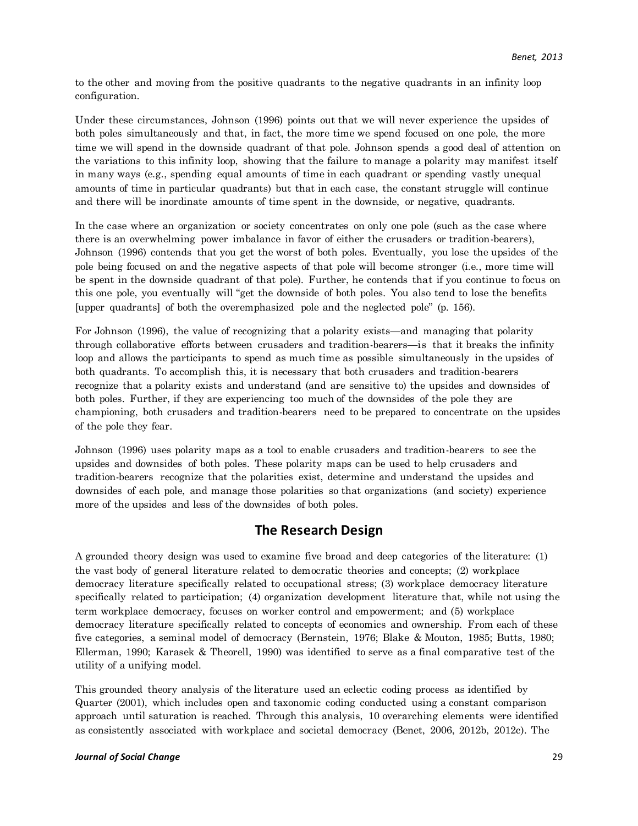to the other and moving from the positive quadrants to the negative quadrants in an infinity loop configuration.

Under these circumstances, Johnson (1996) points out that we will never experience the upsides of both poles simultaneously and that, in fact, the more time we spend focused on one pole, the more time we will spend in the downside quadrant of that pole. Johnson spends a good deal of attention on the variations to this infinity loop, showing that the failure to manage a polarity may manifest itself in many ways (e.g., spending equal amounts of time in each quadrant or spending vastly unequal amounts of time in particular quadrants) but that in each case, the constant struggle will continue and there will be inordinate amounts of time spent in the downside, or negative, quadrants.

In the case where an organization or society concentrates on only one pole (such as the case where there is an overwhelming power imbalance in favor of either the crusaders or tradition-bearers), Johnson (1996) contends that you get the worst of both poles. Eventually, you lose the upsides of the pole being focused on and the negative aspects of that pole will become stronger (i.e., more time will be spent in the downside quadrant of that pole). Further, he contends that if you continue to focus on this one pole, you eventually will "get the downside of both poles. You also tend to lose the benefits [upper quadrants] of both the overemphasized pole and the neglected pole" (p. 156).

For Johnson (1996), the value of recognizing that a polarity exists—and managing that polarity through collaborative efforts between crusaders and tradition-bearers—is that it breaks the infinity loop and allows the participants to spend as much time as possible simultaneously in the upsides of both quadrants. To accomplish this, it is necessary that both crusaders and tradition-bearers recognize that a polarity exists and understand (and are sensitive to) the upsides and downsides of both poles. Further, if they are experiencing too much of the downsides of the pole they are championing, both crusaders and tradition-bearers need to be prepared to concentrate on the upsides of the pole they fear.

Johnson (1996) uses polarity maps as a tool to enable crusaders and tradition-bearers to see the upsides and downsides of both poles. These polarity maps can be used to help crusaders and tradition-bearers recognize that the polarities exist, determine and understand the upsides and downsides of each pole, and manage those polarities so that organizations (and society) experience more of the upsides and less of the downsides of both poles.

## **The Research Design**

A grounded theory design was used to examine five broad and deep categories of the literature: (1) the vast body of general literature related to democratic theories and concepts; (2) workplace democracy literature specifically related to occupational stress; (3) workplace democracy literature specifically related to participation; (4) organization development literature that, while not using the term workplace democracy, focuses on worker control and empowerment; and (5) workplace democracy literature specifically related to concepts of economics and ownership. From each of these five categories, a seminal model of democracy (Bernstein, 1976; Blake & Mouton, 1985; Butts, 1980; Ellerman, 1990; Karasek & Theorell, 1990) was identified to serve as a final comparative test of the utility of a unifying model.

This grounded theory analysis of the literature used an eclectic coding process as identified by Quarter (2001), which includes open and taxonomic coding conducted using a constant comparison approach until saturation is reached. Through this analysis, 10 overarching elements were identified as consistently associated with workplace and societal democracy (Benet, 2006, 2012b, 2012c). The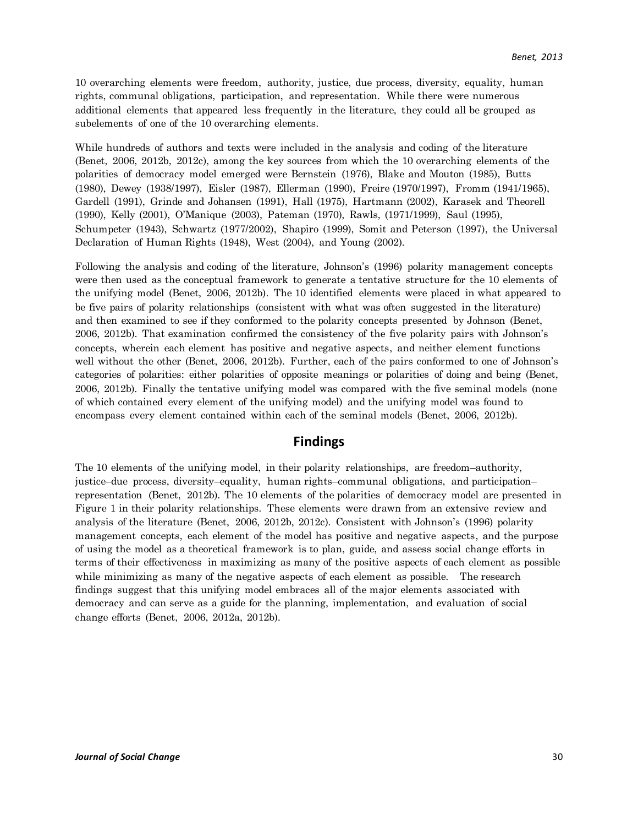10 overarching elements were freedom, authority, justice, due process, diversity, equality, human rights, communal obligations, participation, and representation. While there were numerous additional elements that appeared less frequently in the literature, they could all be grouped as subelements of one of the 10 overarching elements.

While hundreds of authors and texts were included in the analysis and coding of the literature (Benet, 2006, 2012b, 2012c), among the key sources from which the 10 overarching elements of the polarities of democracy model emerged were Bernstein (1976), Blake and Mouton (1985), Butts (1980), Dewey (1938/1997), Eisler (1987), Ellerman (1990), Freire (1970/1997), Fromm (1941/1965), Gardell (1991), Grinde and Johansen (1991), Hall (1975), Hartmann (2002), Karasek and Theorell (1990), Kelly (2001), O'Manique (2003), Pateman (1970), Rawls, (1971/1999), Saul (1995), Schumpeter (1943), Schwartz (1977/2002), Shapiro (1999), Somit and Peterson (1997), the Universal Declaration of Human Rights (1948), West (2004), and Young (2002).

Following the analysis and coding of the literature, Johnson's (1996) polarity management concepts were then used as the conceptual framework to generate a tentative structure for the 10 elements of the unifying model (Benet, 2006, 2012b). The 10 identified elements were placed in what appeared to be five pairs of polarity relationships (consistent with what was often suggested in the literature) and then examined to see if they conformed to the polarity concepts presented by Johnson (Benet, 2006, 2012b). That examination confirmed the consistency of the five polarity pairs with Johnson's concepts, wherein each element has positive and negative aspects, and neither element functions well without the other (Benet, 2006, 2012b). Further, each of the pairs conformed to one of Johnson's categories of polarities: either polarities of opposite meanings or polarities of doing and being (Benet, 2006, 2012b). Finally the tentative unifying model was compared with the five seminal models (none of which contained every element of the unifying model) and the unifying model was found to encompass every element contained within each of the seminal models (Benet, 2006, 2012b).

#### **Findings**

The 10 elements of the unifying model, in their polarity relationships, are freedom–authority, justice–due process, diversity–equality, human rights–communal obligations, and participation– representation (Benet, 2012b). The 10 elements of the polarities of democracy model are presented in Figure 1 in their polarity relationships. These elements were drawn from an extensive review and analysis of the literature (Benet, 2006, 2012b, 2012c). Consistent with Johnson's (1996) polarity management concepts, each element of the model has positive and negative aspects, and the purpose of using the model as a theoretical framework is to plan, guide, and assess social change efforts in terms of their effectiveness in maximizing as many of the positive aspects of each element as possible while minimizing as many of the negative aspects of each element as possible. The research findings suggest that this unifying model embraces all of the major elements associated with democracy and can serve as a guide for the planning, implementation, and evaluation of social change efforts (Benet, 2006, 2012a, 2012b).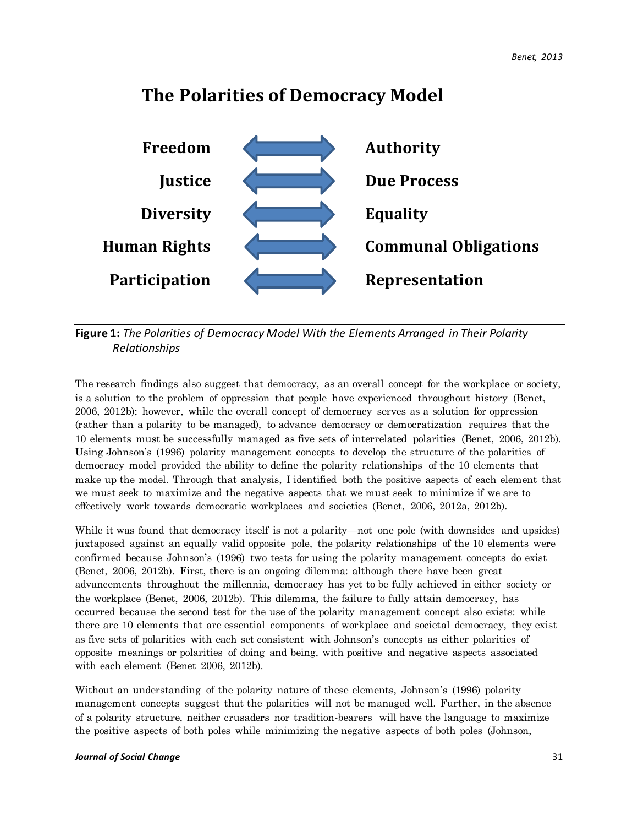

## **The Polarities of Democracy Model**

## **Figure 1:** *The Polarities of Democracy Model With the Elements Arranged in Their Polarity Relationships*

The research findings also suggest that democracy, as an overall concept for the workplace or society, is a solution to the problem of oppression that people have experienced throughout history (Benet, 2006, 2012b); however, while the overall concept of democracy serves as a solution for oppression (rather than a polarity to be managed), to advance democracy or democratization requires that the 10 elements must be successfully managed as five sets of interrelated polarities (Benet, 2006, 2012b). Using Johnson's (1996) polarity management concepts to develop the structure of the polarities of democracy model provided the ability to define the polarity relationships of the 10 elements that make up the model. Through that analysis, I identified both the positive aspects of each element that we must seek to maximize and the negative aspects that we must seek to minimize if we are to effectively work towards democratic workplaces and societies (Benet, 2006, 2012a, 2012b).

While it was found that democracy itself is not a polarity—not one pole (with downsides and upsides) juxtaposed against an equally valid opposite pole, the polarity relationships of the 10 elements were confirmed because Johnson's (1996) two tests for using the polarity management concepts do exist (Benet, 2006, 2012b). First, there is an ongoing dilemma: although there have been great advancements throughout the millennia, democracy has yet to be fully achieved in either society or the workplace (Benet, 2006, 2012b). This dilemma, the failure to fully attain democracy, has occurred because the second test for the use of the polarity management concept also exists: while there are 10 elements that are essential components of workplace and societal democracy, they exist as five sets of polarities with each set consistent with Johnson's concepts as either polarities of opposite meanings or polarities of doing and being, with positive and negative aspects associated with each element (Benet 2006, 2012b).

Without an understanding of the polarity nature of these elements, Johnson's (1996) polarity management concepts suggest that the polarities will not be managed well. Further, in the absence of a polarity structure, neither crusaders nor tradition-bearers will have the language to maximize the positive aspects of both poles while minimizing the negative aspects of both poles (Johnson,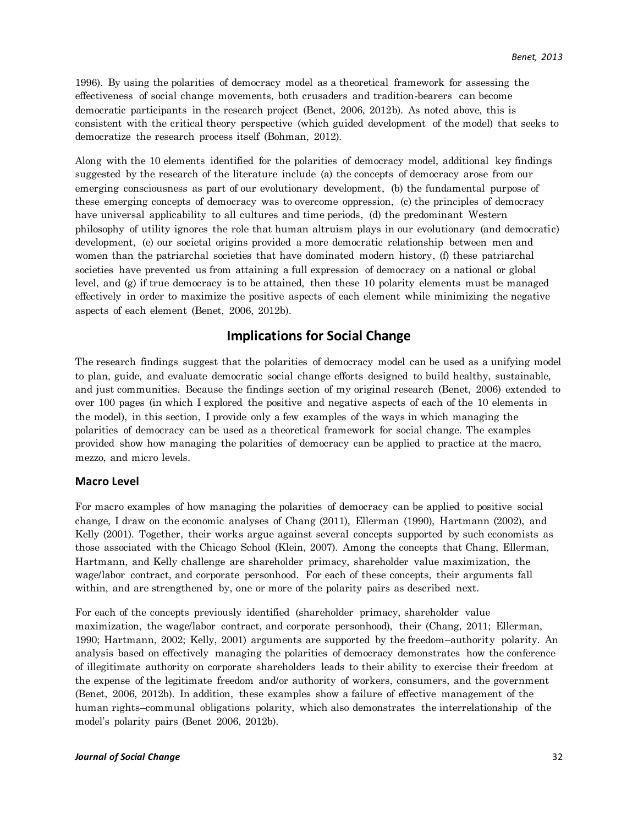1996). By using the polarities of democracy model as a theoretical framework for assessing the effectiveness of social change movements, both crusaders and tradition-bearers can become democratic participants in the research project (Benet, 2006, 2012b). As noted above, this is consistent with the critical theory perspective (which guided development of the model) that seeks to democratize the research process itself (Bohman, 2012).

Along with the 10 elements identified for the polarities of democracy model, additional key findings suggested by the research of the literature include (a) the concepts of democracy arose from our emerging consciousness as part of our evolutionary development, (b) the fundamental purpose of these emerging concepts of democracy was to overcome oppression, (c) the principles of democracy have universal applicability to all cultures and time periods, (d) the predominant Western philosophy of utility ignores the role that human altruism plays in our evolutionary (and democratic) development, (e) our societal origins provided a more democratic relationship between men and women than the patriarchal societies that have dominated modern history, (f) these patriarchal societies have prevented us from attaining a full expression of democracy on a national or global level, and (g) if true democracy is to be attained, then these 10 polarity elements must be managed effectively in order to maximize the positive aspects of each element while minimizing the negative aspects of each element (Benet, 2006, 2012b).

## **Implications for Social Change**

The research findings suggest that the polarities of democracy model can be used as a unifying model to plan, guide, and evaluate democratic social change efforts designed to build healthy, sustainable, and just communities. Because the findings section of my original research (Benet, 2006) extended to over 100 pages (in which I explored the positive and negative aspects of each of the 10 elements in the model), in this section, I provide only a few examples of the ways in which managing the polarities of democracy can be used as a theoretical framework for social change. The examples provided show how managing the polarities of democracy can be applied to practice at the macro, mezzo, and micro levels.

#### **Macro Level**

For macro examples of how managing the polarities of democracy can be applied to positive social change, I draw on the economic analyses of Chang (2011), Ellerman (1990), Hartmann (2002), and Kelly (2001). Together, their works argue against several concepts supported by such economists as those associated with the Chicago School (Klein, 2007). Among the concepts that Chang, Ellerman, Hartmann, and Kelly challenge are shareholder primacy, shareholder value maximization, the wage/labor contract, and corporate personhood. For each of these concepts, their arguments fall within, and are strengthened by, one or more of the polarity pairs as described next.

For each of the concepts previously identified (shareholder primacy, shareholder value maximization, the wage/labor contract, and corporate personhood), their (Chang, 2011; Ellerman, 1990; Hartmann, 2002; Kelly, 2001) arguments are supported by the freedom–authority polarity. An analysis based on effectively managing the polarities of democracy demonstrates how the conference of illegitimate authority on corporate shareholders leads to their ability to exercise their freedom at the expense of the legitimate freedom and/or authority of workers, consumers, and the government (Benet, 2006, 2012b). In addition, these examples show a failure of effective management of the human rights–communal obligations polarity, which also demonstrates the interrelationship of the model's polarity pairs (Benet 2006, 2012b).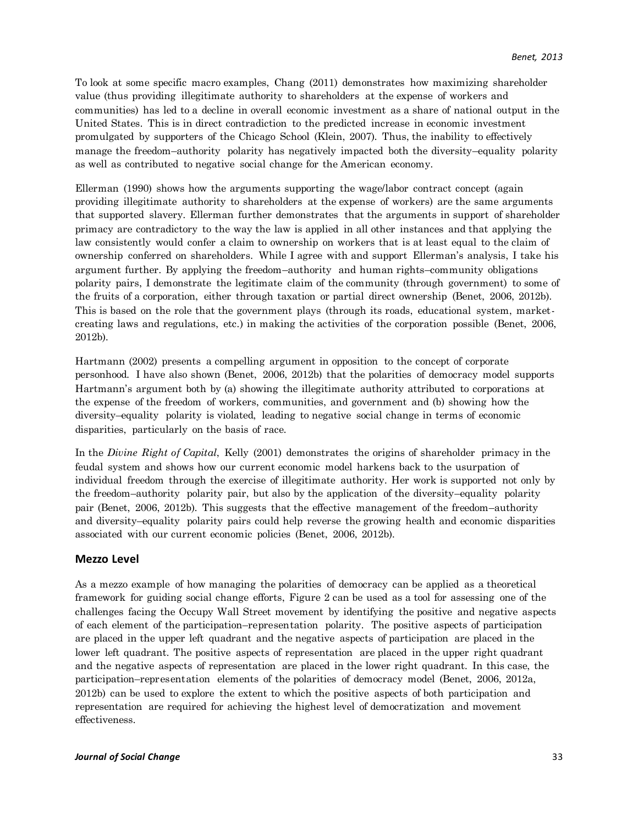To look at some specific macro examples, Chang (2011) demonstrates how maximizing shareholder value (thus providing illegitimate authority to shareholders at the expense of workers and communities) has led to a decline in overall economic investment as a share of national output in the United States. This is in direct contradiction to the predicted increase in economic investment promulgated by supporters of the Chicago School (Klein, 2007). Thus, the inability to effectively manage the freedom–authority polarity has negatively impacted both the diversity–equality polarity as well as contributed to negative social change for the American economy.

Ellerman (1990) shows how the arguments supporting the wage/labor contract concept (again providing illegitimate authority to shareholders at the expense of workers) are the same arguments that supported slavery. Ellerman further demonstrates that the arguments in support of shareholder primacy are contradictory to the way the law is applied in all other instances and that applying the law consistently would confer a claim to ownership on workers that is at least equal to the claim of ownership conferred on shareholders. While I agree with and support Ellerman's analysis, I take his argument further. By applying the freedom–authority and human rights–community obligations polarity pairs, I demonstrate the legitimate claim of the community (through government) to some of the fruits of a corporation, either through taxation or partial direct ownership (Benet, 2006, 2012b). This is based on the role that the government plays (through its roads, educational system, marketcreating laws and regulations, etc.) in making the activities of the corporation possible (Benet, 2006, 2012b).

Hartmann (2002) presents a compelling argument in opposition to the concept of corporate personhood. I have also shown (Benet, 2006, 2012b) that the polarities of democracy model supports Hartmann's argument both by (a) showing the illegitimate authority attributed to corporations at the expense of the freedom of workers, communities, and government and (b) showing how the diversity–equality polarity is violated, leading to negative social change in terms of economic disparities, particularly on the basis of race.

In the *Divine Right of Capital*, Kelly (2001) demonstrates the origins of shareholder primacy in the feudal system and shows how our current economic model harkens back to the usurpation of individual freedom through the exercise of illegitimate authority. Her work is supported not only by the freedom–authority polarity pair, but also by the application of the diversity–equality polarity pair (Benet, 2006, 2012b). This suggests that the effective management of the freedom–authority and diversity–equality polarity pairs could help reverse the growing health and economic disparities associated with our current economic policies (Benet, 2006, 2012b).

#### **Mezzo Level**

As a mezzo example of how managing the polarities of democracy can be applied as a theoretical framework for guiding social change efforts, Figure 2 can be used as a tool for assessing one of the challenges facing the Occupy Wall Street movement by identifying the positive and negative aspects of each element of the participation–representation polarity. The positive aspects of participation are placed in the upper left quadrant and the negative aspects of participation are placed in the lower left quadrant. The positive aspects of representation are placed in the upper right quadrant and the negative aspects of representation are placed in the lower right quadrant. In this case, the participation–representation elements of the polarities of democracy model (Benet, 2006, 2012a, 2012b) can be used to explore the extent to which the positive aspects of both participation and representation are required for achieving the highest level of democratization and movement effectiveness.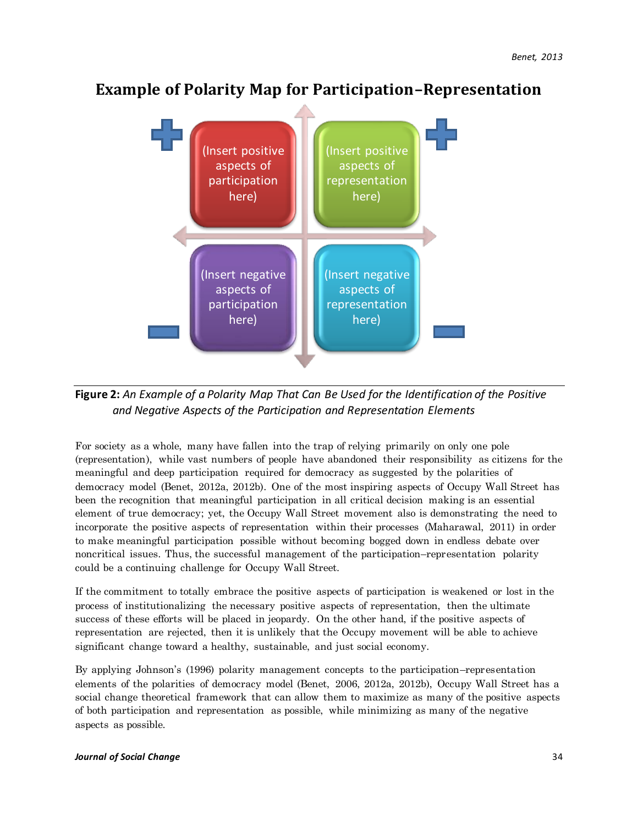## **Example of Polarity Map for Participation–Representation**



**Figure 2:** *An Example of a Polarity Map That Can Be Used for the Identification of the Positive and Negative Aspects of the Participation and Representation Elements*

For society as a whole, many have fallen into the trap of relying primarily on only one pole (representation), while vast numbers of people have abandoned their responsibility as citizens for the meaningful and deep participation required for democracy as suggested by the polarities of democracy model (Benet, 2012a, 2012b). One of the most inspiring aspects of Occupy Wall Street has been the recognition that meaningful participation in all critical decision making is an essential element of true democracy; yet, the Occupy Wall Street movement also is demonstrating the need to incorporate the positive aspects of representation within their processes (Maharawal, 2011) in order to make meaningful participation possible without becoming bogged down in endless debate over noncritical issues. Thus, the successful management of the participation–representation polarity could be a continuing challenge for Occupy Wall Street.

If the commitment to totally embrace the positive aspects of participation is weakened or lost in the process of institutionalizing the necessary positive aspects of representation, then the ultimate success of these efforts will be placed in jeopardy. On the other hand, if the positive aspects of representation are rejected, then it is unlikely that the Occupy movement will be able to achieve significant change toward a healthy, sustainable, and just social economy.

By applying Johnson's (1996) polarity management concepts to the participation–representation elements of the polarities of democracy model (Benet, 2006, 2012a, 2012b), Occupy Wall Street has a social change theoretical framework that can allow them to maximize as many of the positive aspects of both participation and representation as possible, while minimizing as many of the negative aspects as possible.

#### *Journal of Social Change* 34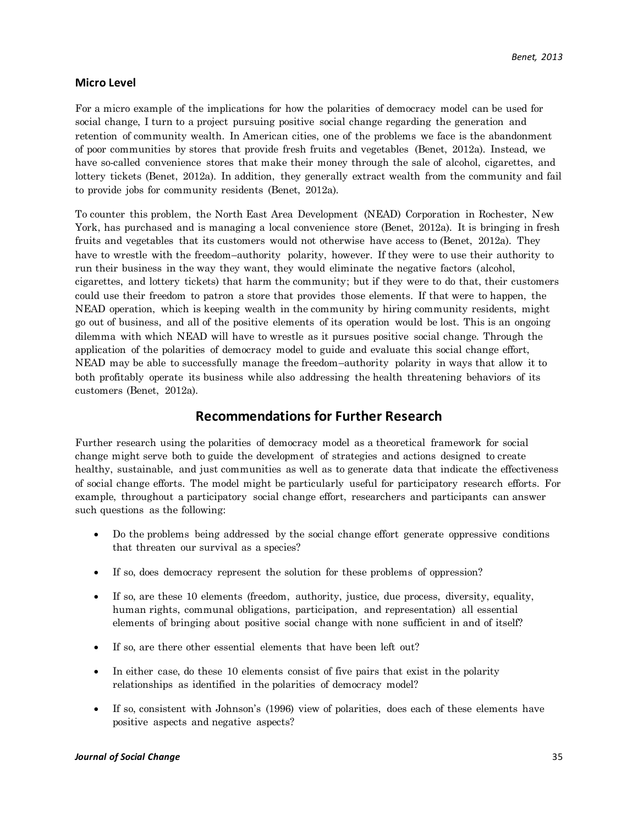#### **Micro Level**

For a micro example of the implications for how the polarities of democracy model can be used for social change, I turn to a project pursuing positive social change regarding the generation and retention of community wealth. In American cities, one of the problems we face is the abandonment of poor communities by stores that provide fresh fruits and vegetables (Benet, 2012a). Instead, we have so-called convenience stores that make their money through the sale of alcohol, cigarettes, and lottery tickets (Benet, 2012a). In addition, they generally extract wealth from the community and fail to provide jobs for community residents (Benet, 2012a).

To counter this problem, the North East Area Development (NEAD) Corporation in Rochester, New York, has purchased and is managing a local convenience store (Benet, 2012a). It is bringing in fresh fruits and vegetables that its customers would not otherwise have access to (Benet, 2012a). They have to wrestle with the freedom–authority polarity, however. If they were to use their authority to run their business in the way they want, they would eliminate the negative factors (alcohol, cigarettes, and lottery tickets) that harm the community; but if they were to do that, their customers could use their freedom to patron a store that provides those elements. If that were to happen, the NEAD operation, which is keeping wealth in the community by hiring community residents, might go out of business, and all of the positive elements of its operation would be lost. This is an ongoing dilemma with which NEAD will have to wrestle as it pursues positive social change. Through the application of the polarities of democracy model to guide and evaluate this social change effort, NEAD may be able to successfully manage the freedom–authority polarity in ways that allow it to both profitably operate its business while also addressing the health threatening behaviors of its customers (Benet, 2012a).

## **Recommendations for Further Research**

Further research using the polarities of democracy model as a theoretical framework for social change might serve both to guide the development of strategies and actions designed to create healthy, sustainable, and just communities as well as to generate data that indicate the effectiveness of social change efforts. The model might be particularly useful for participatory research efforts. For example, throughout a participatory social change effort, researchers and participants can answer such questions as the following:

- Do the problems being addressed by the social change effort generate oppressive conditions that threaten our survival as a species?
- If so, does democracy represent the solution for these problems of oppression?
- If so, are these 10 elements (freedom, authority, justice, due process, diversity, equality, human rights, communal obligations, participation, and representation) all essential elements of bringing about positive social change with none sufficient in and of itself?
- If so, are there other essential elements that have been left out?
- In either case, do these 10 elements consist of five pairs that exist in the polarity relationships as identified in the polarities of democracy model?
- If so, consistent with Johnson's (1996) view of polarities, does each of these elements have positive aspects and negative aspects?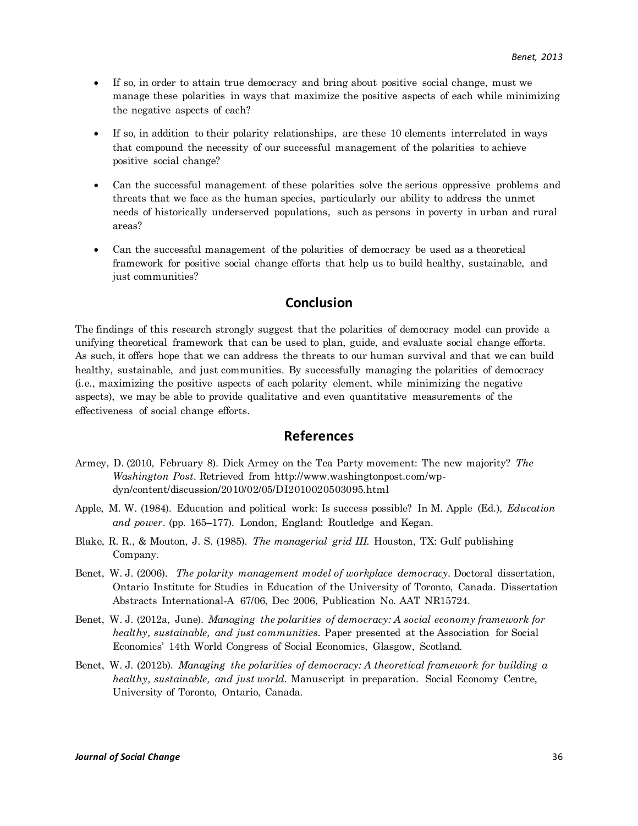- If so, in order to attain true democracy and bring about positive social change, must we manage these polarities in ways that maximize the positive aspects of each while minimizing the negative aspects of each?
- If so, in addition to their polarity relationships, are these 10 elements interrelated in ways that compound the necessity of our successful management of the polarities to achieve positive social change?
- Can the successful management of these polarities solve the serious oppressive problems and threats that we face as the human species, particularly our ability to address the unmet needs of historically underserved populations, such as persons in poverty in urban and rural areas?
- Can the successful management of the polarities of democracy be used as a theoretical framework for positive social change efforts that help us to build healthy, sustainable, and just communities?

## **Conclusion**

The findings of this research strongly suggest that the polarities of democracy model can provide a unifying theoretical framework that can be used to plan, guide, and evaluate social change efforts. As such, it offers hope that we can address the threats to our human survival and that we can build healthy, sustainable, and just communities. By successfully managing the polarities of democracy (i.e., maximizing the positive aspects of each polarity element, while minimizing the negative aspects), we may be able to provide qualitative and even quantitative measurements of the effectiveness of social change efforts.

## **References**

- Armey, D. (2010, February 8). Dick Armey on the Tea Party movement: The new majority? *The Washington Post.* Retrieved from [http://www.washingtonpost.com/wp](http://www.washingtonpost.com/wp-dyn/content/discussion/2010/02/05/DI2010020503095.html)[dyn/content/discussion/2010/02/05/DI2010020503095.html](http://www.washingtonpost.com/wp-dyn/content/discussion/2010/02/05/DI2010020503095.html)
- Apple, M. W. (1984). Education and political work: Is success possible? In M. Apple (Ed.), *Education and power*. (pp. 165–177). London, England: Routledge and Kegan.
- Blake, R. R., & Mouton, J. S. (1985)*. The managerial grid III.* Houston, TX: Gulf publishing Company.
- Benet, W. J. (2006). *The polarity management model of workplace democracy.* Doctoral dissertation, Ontario Institute for Studies in Education of the University of Toronto, Canada. Dissertation Abstracts International-A 67/06, Dec 2006, Publication No. AAT NR15724.
- Benet, W. J. (2012a, June). *Managing the polarities of democracy: A social economy framework for healthy, sustainable, and just communities.* Paper presented at the Association for Social Economics' 14th World Congress of Social Economics, Glasgow, Scotland.
- Benet, W. J. (2012b). *Managing the polarities of democracy: A theoretical framework for building a healthy, sustainable, and just world.* Manuscript in preparation. Social Economy Centre, University of Toronto, Ontario, Canada.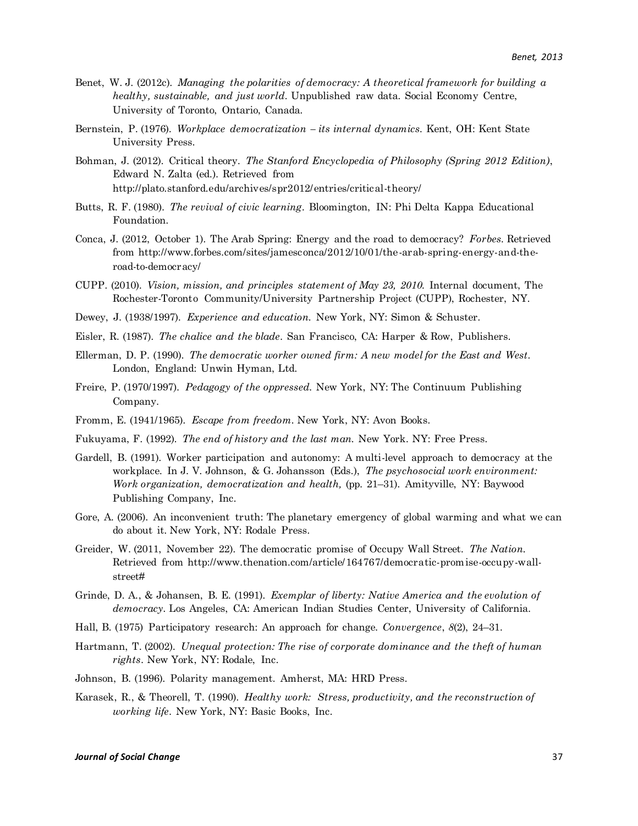- Benet, W. J. (2012c). *Managing the polarities of democracy: A theoretical framework for building a healthy, sustainable, and just world*. Unpublished raw data. Social Economy Centre, University of Toronto, Ontario, Canada.
- Bernstein, P. (1976). *Workplace democratization – its internal dynamics.* Kent, OH: Kent State University Press.
- Bohman, J. (2012). Critical theory. *The Stanford Encyclopedia of Philosophy (Spring 2012 Edition)*, Edward N. Zalta (ed.). Retrieved from http://plato.stanford.edu/archives/spr2012/entries/critical-theory/
- Butts, R. F. (1980). *The revival of civic learning*. Bloomington, IN: Phi Delta Kappa Educational Foundation.
- Conca, J. (2012, October 1). The Arab Spring: Energy and the road to democracy? *Forbes.* Retrieved from http://www.forbes.com/sites/jamesconca/2012/10/01/the-arab-spring-energy-and-theroad-to-democracy/
- CUPP. (2010). *Vision, mission, and principles statement of May 23, 2010.* Internal document, The Rochester-Toronto Community/University Partnership Project (CUPP), Rochester, NY.
- Dewey, J. (1938/1997). *Experience and education.* New York, NY: Simon & Schuster.
- Eisler, R. (1987). *The chalice and the blade*. San Francisco, CA: Harper & Row, Publishers.
- Ellerman, D. P. (1990). *The democratic worker owned firm: A new model for the East and West.*  London, England: Unwin Hyman, Ltd.
- Freire, P. (1970/1997). *Pedagogy of the oppressed.* New York, NY: The Continuum Publishing Company.
- Fromm, E. (1941/1965). *Escape from freedom.* New York, NY: Avon Books.
- Fukuyama, F. (1992). *The end of history and the last man.* New York. NY: Free Press.
- Gardell, B. (1991). Worker participation and autonomy: A multi-level approach to democracy at the workplace. In J. V. Johnson, & G. Johansson (Eds.), *The psychosocial work environment: Work organization, democratization and health,* (pp. 21–31). Amityville, NY: Baywood Publishing Company, Inc.
- Gore, A. (2006). An inconvenient truth: The planetary emergency of global warming and what we can do about it. New York, NY: Rodale Press.
- Greider, W. (2011, November 22). The democratic promise of Occupy Wall Street. *The Nation.* Retrieved from http://www.thenation.com/article/164767/democratic-promise-occupy-wallstreet#
- Grinde, D. A., & Johansen, B. E. (1991). *Exemplar of liberty: Native America and the evolution of democracy.* Los Angeles, CA: American Indian Studies Center, University of California.
- Hall, B. (1975) Participatory research: An approach for change. *Convergence*, *8*(2), 24–31.
- Hartmann, T. (2002). *Unequal protection: The rise of corporate dominance and the theft of human rights*. New York, NY: Rodale, Inc.
- Johnson, B. (1996). Polarity management. Amherst, MA: HRD Press.
- Karasek, R., & Theorell, T. (1990). *Healthy work: Stress, productivity, and the reconstruction of working life*. New York, NY: Basic Books, Inc.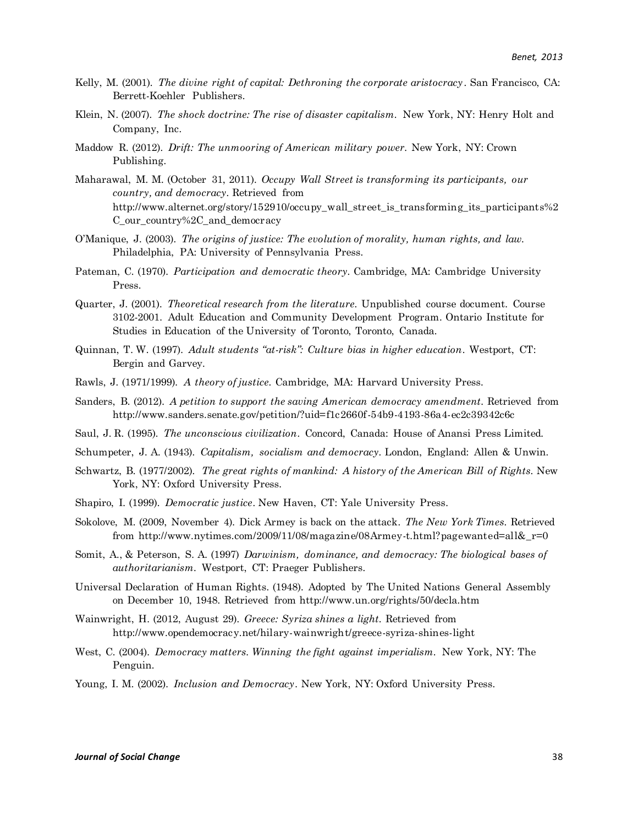- Kelly, M. (2001)*. The divine right of capital: Dethroning the corporate aristocracy*. San Francisco, CA: Berrett-Koehler Publishers.
- Klein, N. (2007). *The shock doctrine: The rise of disaster capitalism.* New York, NY: Henry Holt and Company, Inc.
- Maddow R. (2012). *Drift: The unmooring of American military power.* New York, NY: Crown Publishing.
- Maharawal, M. M. (October 31, 2011). *Occupy Wall Street is transforming its participants, our country, and democracy.* Retrieved from [http://www.alternet.org/story/152910/occupy\\_wall\\_street\\_is\\_transforming\\_its\\_participants%2](http://www.alternet.org/story/152910/occupy_wall_street_is_transforming_its_participants%2C_our_country%2C_and_democracy) [C\\_our\\_country%2C\\_and\\_democracy](http://www.alternet.org/story/152910/occupy_wall_street_is_transforming_its_participants%2C_our_country%2C_and_democracy)
- O'Manique, J. (2003). *The origins of justice: The evolution of morality, human rights, and law.*  Philadelphia, PA: University of Pennsylvania Press.
- Pateman, C. (1970)*. Participation and democratic theory.* Cambridge, MA: Cambridge University Press.
- Quarter, J. (2001). *Theoretical research from the literature.* Unpublished course document. Course 3102-2001. Adult Education and Community Development Program. Ontario Institute for Studies in Education of the University of Toronto, Toronto, Canada.
- Quinnan, T. W. (1997). *Adult students "at-risk": Culture bias in higher education*. Westport, CT: Bergin and Garvey.
- Rawls, J. (1971/1999). *A theory of justice.* Cambridge, MA: Harvard University Press.
- Sanders, B. (2012). *A petition to support the saving American democracy amendment.* Retrieved from <http://www.sanders.senate.gov/petition/?uid=f1c2660f-54b9-4193-86a4-ec2c39342c6c>
- Saul, J. R. (1995). *The unconscious civilization*. Concord, Canada: House of Anansi Press Limited.
- Schumpeter, J. A. (1943). *Capitalism, socialism and democracy.* London, England: Allen & Unwin.
- Schwartz, B. (1977/2002). *The great rights of mankind: A history of the American Bill of Rights.* New York, NY: Oxford University Press.
- Shapiro, I. (1999). *Democratic justice*. New Haven, CT: Yale University Press.
- Sokolove, M. (2009, November 4). Dick Armey is back on the attack. *The New York Times.* Retrieved from [http://www.nytimes.com/2009/11/08/magazine/08Armey-t.html?pagewanted=all&\\_r=0](http://www.nytimes.com/2009/11/08/magazine/08Armey-t.html?pagewanted=all&_r=0)
- Somit, A., & Peterson, S. A. (1997) *Darwinism, dominance, and democracy: The biological bases of authoritarianism.* Westport, CT: Praeger Publishers.
- Universal Declaration of Human Rights. (1948). Adopted by The United Nations General Assembly on December 10, 1948. Retrieved from<http://www.un.org/rights/50/decla.htm>
- Wainwright, H. (2012, August 29). *Greece: Syriza shines a light.* Retrieved from http://www.opendemocracy.net/hilary-wainwright/greece-syriza-shines-light
- West, C. (2004). *Democracy matters. Winning the fight against imperialism.* New York, NY: The Penguin.
- Young, I. M. (2002). *Inclusion and Democracy*. New York, NY: Oxford University Press.